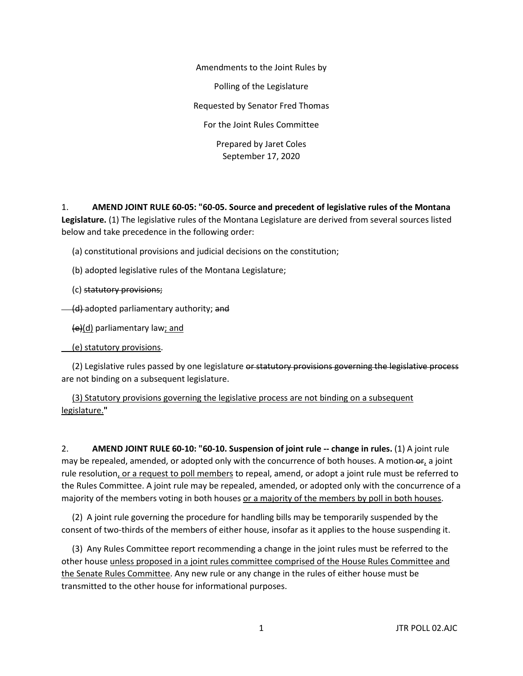Amendments to the Joint Rules by Polling of the Legislature Requested by Senator Fred Thomas For the Joint Rules Committee Prepared by Jaret Coles September 17, 2020

1. **AMEND JOINT RULE 60-05: "60-05. Source and precedent of legislative rules of the Montana Legislature.** (1) The legislative rules of the Montana Legislature are derived from several sources listed below and take precedence in the following order:

(a) constitutional provisions and judicial decisions on the constitution;

(b) adopted legislative rules of the Montana Legislature;

(c) statutory provisions;

(d) adopted parliamentary authority; and

(e)(d) parliamentary law; and

(e) statutory provisions.

(2) Legislative rules passed by one legislature or statutory provisions governing the legislative process are not binding on a subsequent legislature.

 (3) Statutory provisions governing the legislative process are not binding on a subsequent legislature.**"**

2. **AMEND JOINT RULE 60-10: "60-10. Suspension of joint rule -- change in rules.** (1) A joint rule may be repealed, amended, or adopted only with the concurrence of both houses. A motion-or, a joint rule resolution, or a request to poll members to repeal, amend, or adopt a joint rule must be referred to the Rules Committee. A joint rule may be repealed, amended, or adopted only with the concurrence of a majority of the members voting in both houses or a majority of the members by poll in both houses.

 (2) A joint rule governing the procedure for handling bills may be temporarily suspended by the consent of two-thirds of the members of either house, insofar as it applies to the house suspending it.

 (3) Any Rules Committee report recommending a change in the joint rules must be referred to the other house unless proposed in a joint rules committee comprised of the House Rules Committee and the Senate Rules Committee. Any new rule or any change in the rules of either house must be transmitted to the other house for informational purposes.